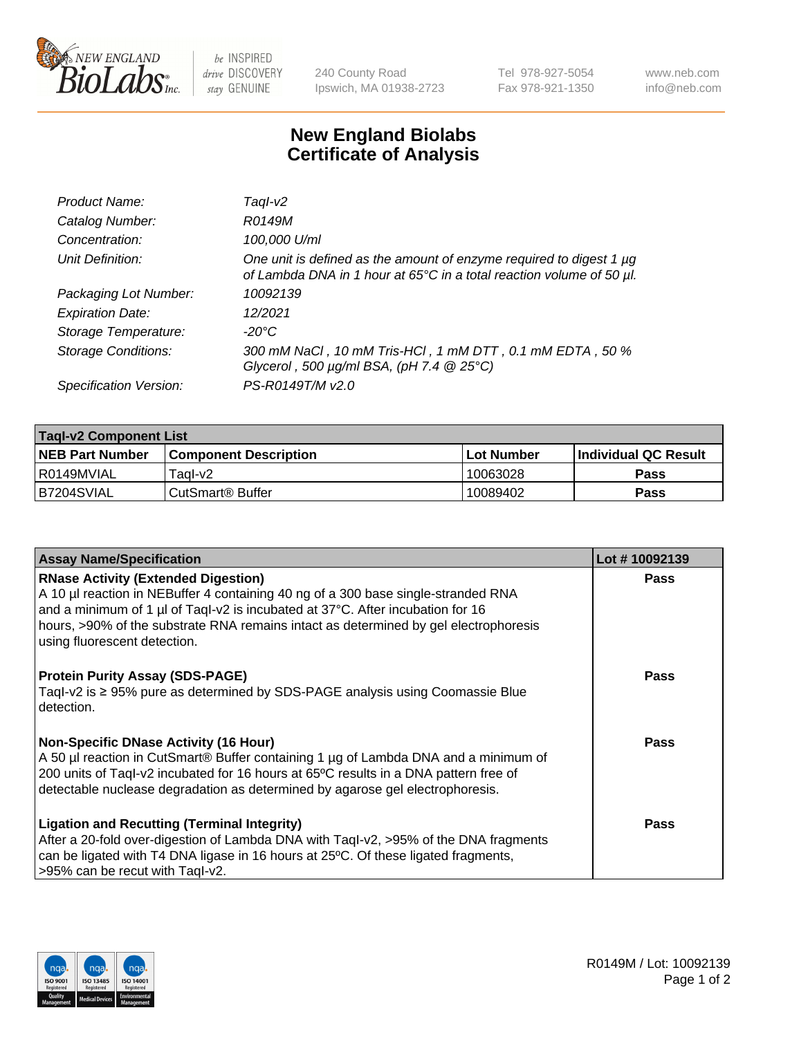

be INSPIRED drive DISCOVERY stay GENUINE

240 County Road Ipswich, MA 01938-2723 Tel 978-927-5054 Fax 978-921-1350 www.neb.com info@neb.com

## **New England Biolabs Certificate of Analysis**

| Product Name:              | Taql-v2                                                                                                                                                    |
|----------------------------|------------------------------------------------------------------------------------------------------------------------------------------------------------|
| Catalog Number:            | R0149M                                                                                                                                                     |
| Concentration:             | 100,000 U/ml                                                                                                                                               |
| Unit Definition:           | One unit is defined as the amount of enzyme required to digest 1 µg<br>of Lambda DNA in 1 hour at 65 $\degree$ C in a total reaction volume of 50 $\mu$ l. |
| Packaging Lot Number:      | 10092139                                                                                                                                                   |
| <b>Expiration Date:</b>    | 12/2021                                                                                                                                                    |
| Storage Temperature:       | -20°C                                                                                                                                                      |
| <b>Storage Conditions:</b> | 300 mM NaCl, 10 mM Tris-HCl, 1 mM DTT, 0.1 mM EDTA, 50 %<br>Glycerol, 500 $\mu$ g/ml BSA, (pH 7.4 $@$ 25°C)                                                |
| Specification Version:     | PS-R0149T/M v2.0                                                                                                                                           |

| <b>Tagl-v2 Component List</b> |                              |             |                             |  |  |
|-------------------------------|------------------------------|-------------|-----------------------------|--|--|
| <b>NEB Part Number</b>        | <b>Component Description</b> | ⊺Lot Number | <b>Individual QC Result</b> |  |  |
| l R0149MVIAL                  | Taol-v2                      | 10063028    | Pass                        |  |  |
| IB7204SVIAL                   | CutSmart® Buffer             | 10089402    | <b>Pass</b>                 |  |  |

| <b>Assay Name/Specification</b>                                                                                                                                                                                                                                                                                                           | Lot #10092139 |
|-------------------------------------------------------------------------------------------------------------------------------------------------------------------------------------------------------------------------------------------------------------------------------------------------------------------------------------------|---------------|
| <b>RNase Activity (Extended Digestion)</b><br>A 10 µl reaction in NEBuffer 4 containing 40 ng of a 300 base single-stranded RNA<br>and a minimum of 1 µl of Taql-v2 is incubated at 37°C. After incubation for 16<br>hours, >90% of the substrate RNA remains intact as determined by gel electrophoresis<br>using fluorescent detection. | Pass          |
| <b>Protein Purity Assay (SDS-PAGE)</b><br>Taql-v2 is $\geq$ 95% pure as determined by SDS-PAGE analysis using Coomassie Blue<br>detection.                                                                                                                                                                                                | <b>Pass</b>   |
| Non-Specific DNase Activity (16 Hour)<br>A 50 µl reaction in CutSmart® Buffer containing 1 µg of Lambda DNA and a minimum of<br>200 units of Taql-v2 incubated for 16 hours at 65°C results in a DNA pattern free of<br>detectable nuclease degradation as determined by agarose gel electrophoresis.                                     | Pass          |
| <b>Ligation and Recutting (Terminal Integrity)</b><br>After a 20-fold over-digestion of Lambda DNA with Taql-v2, >95% of the DNA fragments<br>can be ligated with T4 DNA ligase in 16 hours at 25°C. Of these ligated fragments,<br>>95% can be recut with Taql-v2.                                                                       | Pass          |